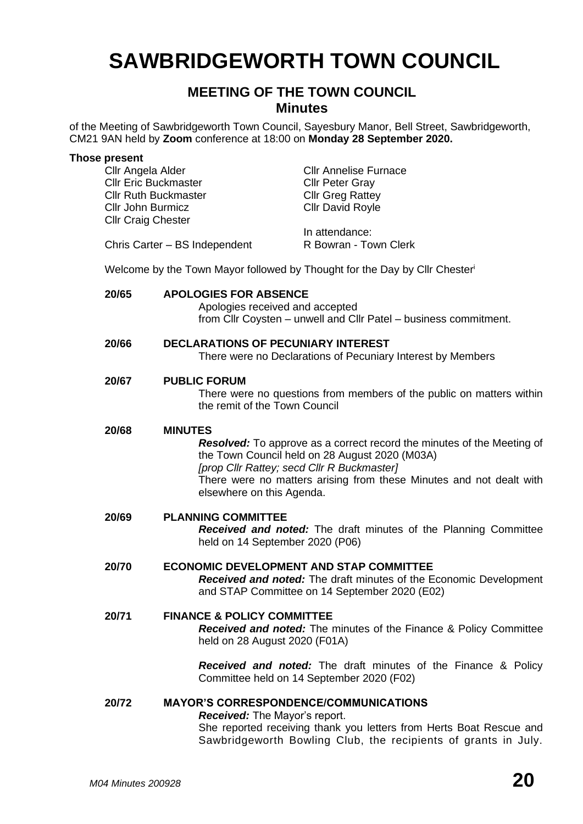# **SAWBRIDGEWORTH TOWN COUNCIL**

# **MEETING OF THE TOWN COUNCIL Minutes**

of the Meeting of Sawbridgeworth Town Council, Sayesbury Manor, Bell Street, Sawbridgeworth, CM21 9AN held by **Zoom** conference at 18:00 on **Monday 28 September 2020.**

| <b>Those present</b><br>Cllr Angela Alder<br><b>Cllr Eric Buckmaster</b><br><b>Cllr Ruth Buckmaster</b><br>Cllr John Burmicz<br><b>Cllr Craig Chester</b> | Chris Carter - BS Independent                                                                                                                                                                                                                                                                       | <b>Cllr Annelise Furnace</b><br><b>Cllr Peter Gray</b><br><b>Cllr Greg Rattey</b><br><b>Cllr David Royle</b><br>In attendance:<br>R Bowran - Town Clerk<br>Welcome by the Town Mayor followed by Thought for the Day by Cllr Chester' |
|-----------------------------------------------------------------------------------------------------------------------------------------------------------|-----------------------------------------------------------------------------------------------------------------------------------------------------------------------------------------------------------------------------------------------------------------------------------------------------|---------------------------------------------------------------------------------------------------------------------------------------------------------------------------------------------------------------------------------------|
|                                                                                                                                                           |                                                                                                                                                                                                                                                                                                     |                                                                                                                                                                                                                                       |
| 20/65                                                                                                                                                     | <b>APOLOGIES FOR ABSENCE</b><br>Apologies received and accepted                                                                                                                                                                                                                                     | from Cllr Coysten - unwell and Cllr Patel - business commitment.                                                                                                                                                                      |
| 20/66                                                                                                                                                     | <b>DECLARATIONS OF PECUNIARY INTEREST</b><br>There were no Declarations of Pecuniary Interest by Members                                                                                                                                                                                            |                                                                                                                                                                                                                                       |
| 20/67                                                                                                                                                     | <b>PUBLIC FORUM</b><br>There were no questions from members of the public on matters within<br>the remit of the Town Council                                                                                                                                                                        |                                                                                                                                                                                                                                       |
| 20/68                                                                                                                                                     | <b>MINUTES</b><br><b>Resolved:</b> To approve as a correct record the minutes of the Meeting of<br>the Town Council held on 28 August 2020 (M03A)<br>[prop Cllr Rattey; secd Cllr R Buckmaster]<br>There were no matters arising from these Minutes and not dealt with<br>elsewhere on this Agenda. |                                                                                                                                                                                                                                       |
| 20/69                                                                                                                                                     | <b>PLANNING COMMITTEE</b><br>Received and noted: The draft minutes of the Planning Committee<br>held on 14 September 2020 (P06)                                                                                                                                                                     |                                                                                                                                                                                                                                       |
| 20/70                                                                                                                                                     | <b>ECONOMIC DEVELOPMENT AND STAP COMMITTEE</b><br>Received and noted: The draft minutes of the Economic Development<br>and STAP Committee on 14 September 2020 (E02)                                                                                                                                |                                                                                                                                                                                                                                       |
| <b>FINANCE &amp; POLICY COMMITTEE</b><br>20/71<br>held on 28 August 2020 (F01A)                                                                           |                                                                                                                                                                                                                                                                                                     | Received and noted: The minutes of the Finance & Policy Committee                                                                                                                                                                     |
|                                                                                                                                                           |                                                                                                                                                                                                                                                                                                     | Received and noted: The draft minutes of the Finance & Policy<br>Committee held on 14 September 2020 (F02)                                                                                                                            |
| 20/72                                                                                                                                                     | <b>MAYOR'S CORRESPONDENCE/COMMUNICATIONS</b><br><b>Received:</b> The Mayor's report.<br>She reported receiving thank you letters from Herts Boat Rescue and<br>Sawbridgeworth Bowling Club, the recipients of grants in July.                                                                       |                                                                                                                                                                                                                                       |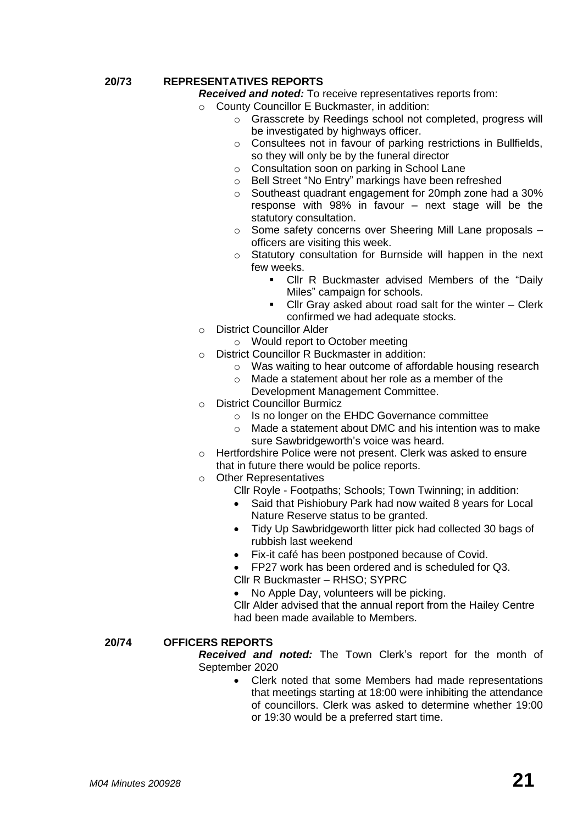# **20/73 REPRESENTATIVES REPORTS**

*Received and noted:* To receive representatives reports from:

- o County Councillor E Buckmaster, in addition:
	- o Grasscrete by Reedings school not completed, progress will be investigated by highways officer.
	- o Consultees not in favour of parking restrictions in Bullfields, so they will only be by the funeral director
	- o Consultation soon on parking in School Lane
	- o Bell Street "No Entry" markings have been refreshed
	- o Southeast quadrant engagement for 20mph zone had a 30% response with 98% in favour – next stage will be the statutory consultation.
	- o Some safety concerns over Sheering Mill Lane proposals officers are visiting this week.
	- o Statutory consultation for Burnside will happen in the next few weeks.
		- Cllr R Buckmaster advised Members of the "Daily Miles" campaign for schools.
		- Cllr Gray asked about road salt for the winter Clerk confirmed we had adequate stocks.
- o District Councillor Alder
	- o Would report to October meeting
- o District Councillor R Buckmaster in addition:
	- o Was waiting to hear outcome of affordable housing research
	- o Made a statement about her role as a member of the Development Management Committee.
- o District Councillor Burmicz
	- o Is no longer on the EHDC Governance committee
	- o Made a statement about DMC and his intention was to make sure Sawbridgeworth's voice was heard.
- o Hertfordshire Police were not present. Clerk was asked to ensure that in future there would be police reports.
- o Other Representatives
	- Cllr Royle Footpaths; Schools; Town Twinning; in addition:
		- Said that Pishiobury Park had now waited 8 years for Local Nature Reserve status to be granted.
	- Tidy Up Sawbridgeworth litter pick had collected 30 bags of rubbish last weekend
	- Fix-it café has been postponed because of Covid.
	- FP27 work has been ordered and is scheduled for Q3.
	- Cllr R Buckmaster RHSO; SYPRC
		- No Apple Day, volunteers will be picking.

Cllr Alder advised that the annual report from the Hailey Centre had been made available to Members.

#### **20/74 OFFICERS REPORTS**

*Received and noted:* The Town Clerk's report for the month of September 2020

• Clerk noted that some Members had made representations that meetings starting at 18:00 were inhibiting the attendance of councillors. Clerk was asked to determine whether 19:00 or 19:30 would be a preferred start time.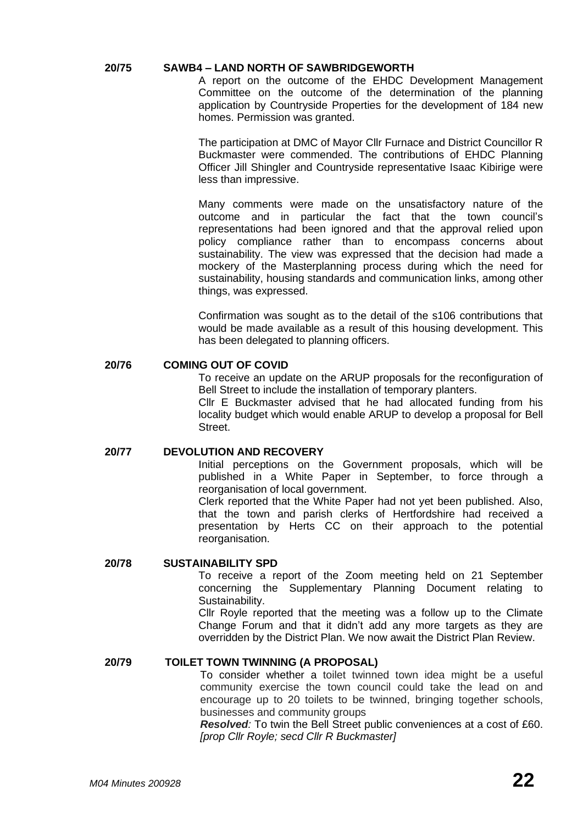# **20/75 SAWB4 – LAND NORTH OF SAWBRIDGEWORTH**

A report on the outcome of the EHDC Development Management Committee on the outcome of the determination of the planning application by Countryside Properties for the development of 184 new homes. Permission was granted.

The participation at DMC of Mayor Cllr Furnace and District Councillor R Buckmaster were commended. The contributions of EHDC Planning Officer Jill Shingler and Countryside representative Isaac Kibirige were less than impressive.

Many comments were made on the unsatisfactory nature of the outcome and in particular the fact that the town council's representations had been ignored and that the approval relied upon policy compliance rather than to encompass concerns about sustainability. The view was expressed that the decision had made a mockery of the Masterplanning process during which the need for sustainability, housing standards and communication links, among other things, was expressed.

Confirmation was sought as to the detail of the s106 contributions that would be made available as a result of this housing development. This has been delegated to planning officers.

# **20/76 COMING OUT OF COVID**

To receive an update on the ARUP proposals for the reconfiguration of Bell Street to include the installation of temporary planters.

Cllr E Buckmaster advised that he had allocated funding from his locality budget which would enable ARUP to develop a proposal for Bell Street.

#### **20/77 DEVOLUTION AND RECOVERY**

Initial perceptions on the Government proposals, which will be published in a White Paper in September, to force through a reorganisation of local government.

Clerk reported that the White Paper had not yet been published. Also, that the town and parish clerks of Hertfordshire had received a presentation by Herts CC on their approach to the potential reorganisation.

#### **20/78 SUSTAINABILITY SPD**

To receive a report of the Zoom meeting held on 21 September concerning the Supplementary Planning Document relating to Sustainability.

Cllr Royle reported that the meeting was a follow up to the Climate Change Forum and that it didn't add any more targets as they are overridden by the District Plan. We now await the District Plan Review.

## **20/79 TOILET TOWN TWINNING (A PROPOSAL)**

To consider whether a toilet twinned town idea might be a useful community exercise the town council could take the lead on and encourage up to 20 toilets to be twinned, bringing together schools, businesses and community groups

*Resolved:* To twin the Bell Street public conveniences at a cost of £60. *[prop Cllr Royle; secd Cllr R Buckmaster]*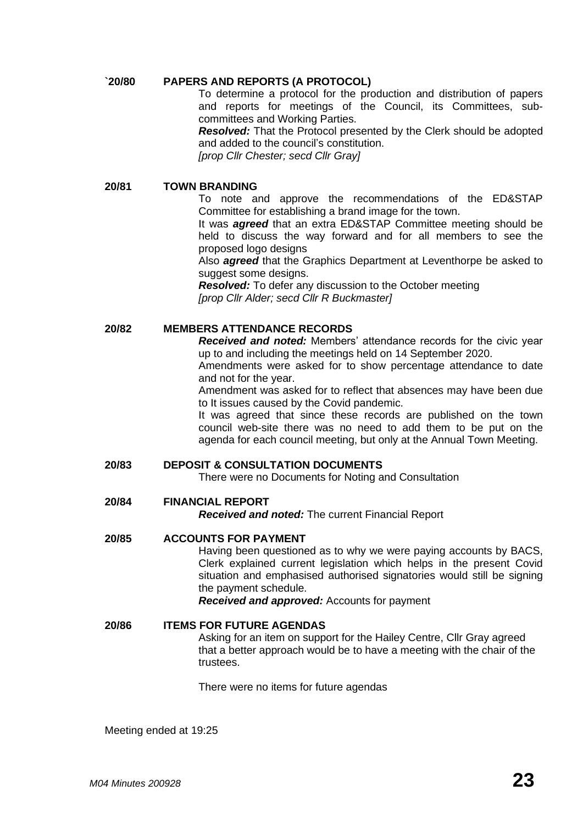# **`20/80 PAPERS AND REPORTS (A PROTOCOL)**

To determine a protocol for the production and distribution of papers and reports for meetings of the Council, its Committees, subcommittees and Working Parties.

*Resolved:* That the Protocol presented by the Clerk should be adopted and added to the council's constitution.

*[prop Cllr Chester; secd Cllr Gray]*

#### **20/81 TOWN BRANDING**

To note and approve the recommendations of the ED&STAP Committee for establishing a brand image for the town.

It was *agreed* that an extra ED&STAP Committee meeting should be held to discuss the way forward and for all members to see the proposed logo designs

Also *agreed* that the Graphics Department at Leventhorpe be asked to suggest some designs.

*Resolved:* To defer any discussion to the October meeting *[prop Cllr Alder; secd Cllr R Buckmaster]*

# **20/82 MEMBERS ATTENDANCE RECORDS**

*Received and noted:* Members' attendance records for the civic year up to and including the meetings held on 14 September 2020.

Amendments were asked for to show percentage attendance to date and not for the year.

Amendment was asked for to reflect that absences may have been due to It issues caused by the Covid pandemic.

It was agreed that since these records are published on the town council web-site there was no need to add them to be put on the agenda for each council meeting, but only at the Annual Town Meeting.

#### **20/83 DEPOSIT & CONSULTATION DOCUMENTS**

There were no Documents for Noting and Consultation

# **20/84 FINANCIAL REPORT**

*Received and noted:* The current Financial Report

#### **20/85 ACCOUNTS FOR PAYMENT**

Having been questioned as to why we were paying accounts by BACS, Clerk explained current legislation which helps in the present Covid situation and emphasised authorised signatories would still be signing the payment schedule.

*Received and approved:* Accounts for payment

## **20/86 ITEMS FOR FUTURE AGENDAS**

Asking for an item on support for the Hailey Centre, Cllr Gray agreed that a better approach would be to have a meeting with the chair of the trustees.

There were no items for future agendas

Meeting ended at 19:25